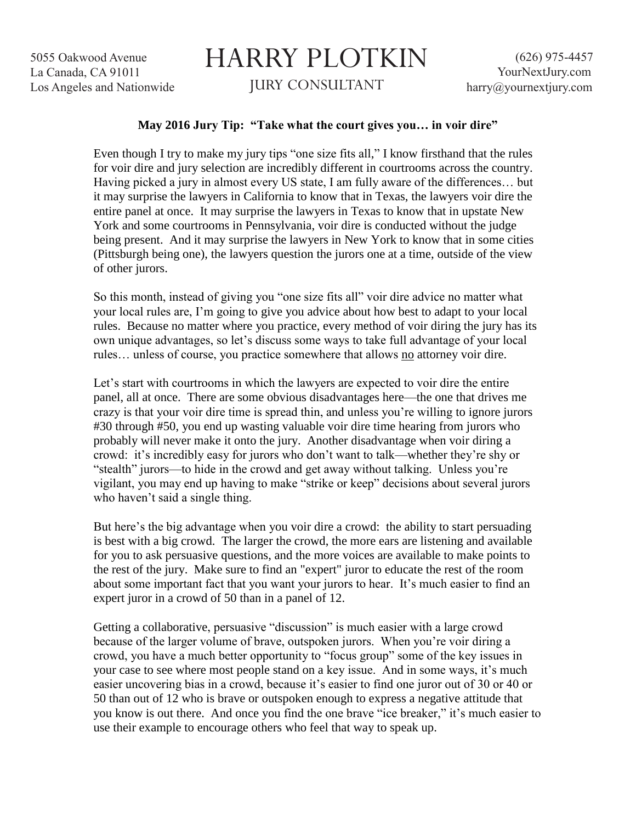5055 Oakwood Avenue La Canada, CA 91011 Los Angeles and Nationwide

## HARRY PLOTKIN JURY CONSULTANT

## **May 2016 Jury Tip: "Take what the court gives you… in voir dire"**

Even though I try to make my jury tips "one size fits all," I know firsthand that the rules for voir dire and jury selection are incredibly different in courtrooms across the country. Having picked a jury in almost every US state, I am fully aware of the differences… but it may surprise the lawyers in California to know that in Texas, the lawyers voir dire the entire panel at once. It may surprise the lawyers in Texas to know that in upstate New York and some courtrooms in Pennsylvania, voir dire is conducted without the judge being present. And it may surprise the lawyers in New York to know that in some cities (Pittsburgh being one), the lawyers question the jurors one at a time, outside of the view of other jurors.

So this month, instead of giving you "one size fits all" voir dire advice no matter what your local rules are, I'm going to give you advice about how best to adapt to your local rules. Because no matter where you practice, every method of voir diring the jury has its own unique advantages, so let's discuss some ways to take full advantage of your local rules... unless of course, you practice somewhere that allows no attorney voir dire.

Let's start with courtrooms in which the lawyers are expected to voir dire the entire panel, all at once. There are some obvious disadvantages here—the one that drives me crazy is that your voir dire time is spread thin, and unless you're willing to ignore jurors #30 through #50, you end up wasting valuable voir dire time hearing from jurors who probably will never make it onto the jury. Another disadvantage when voir diring a crowd: it's incredibly easy for jurors who don't want to talk—whether they're shy or "stealth" jurors—to hide in the crowd and get away without talking. Unless you're vigilant, you may end up having to make "strike or keep" decisions about several jurors who haven't said a single thing.

But here's the big advantage when you voir dire a crowd: the ability to start persuading is best with a big crowd. The larger the crowd, the more ears are listening and available for you to ask persuasive questions, and the more voices are available to make points to the rest of the jury. Make sure to find an "expert" juror to educate the rest of the room about some important fact that you want your jurors to hear. It's much easier to find an expert juror in a crowd of 50 than in a panel of 12.

Getting a collaborative, persuasive "discussion" is much easier with a large crowd because of the larger volume of brave, outspoken jurors. When you're voir diring a crowd, you have a much better opportunity to "focus group" some of the key issues in your case to see where most people stand on a key issue. And in some ways, it's much easier uncovering bias in a crowd, because it's easier to find one juror out of 30 or 40 or 50 than out of 12 who is brave or outspoken enough to express a negative attitude that you know is out there. And once you find the one brave "ice breaker," it's much easier to use their example to encourage others who feel that way to speak up.